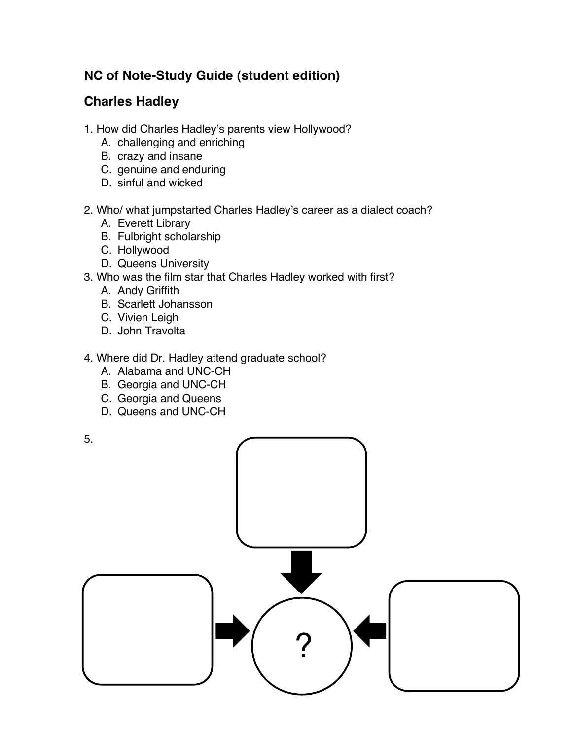## **NC of Note-Study Guide (student edition)**

## **Charles Hadley**

- 1. How did Charles Hadley's parents view Hollywood?
	- A. challenging and enriching
	- B. crazy and insane
	- C. genuine and enduring
	- D. sinful and wicked
- 2. Who/ what jumpstarted Charles Hadley's career as a dialect coach?
	- A. Everett Library
	- B. Fulbright scholarship
	- C. Hollywood
	- D. Queens University
- 3. Who was the film star that Charles Hadley worked with first?
	- A. Andy Griffith
	- B. Scarlett Johansson
	- C. Vivien Leigh
	- D. John Travolta
- 4. Where did Dr. Hadley attend graduate school?
	- A. Alabama and UNC-CH
	- B. Georgia and UNC-CH
	- C. Georgia and Queens
	- D. Queens and UNC-CH